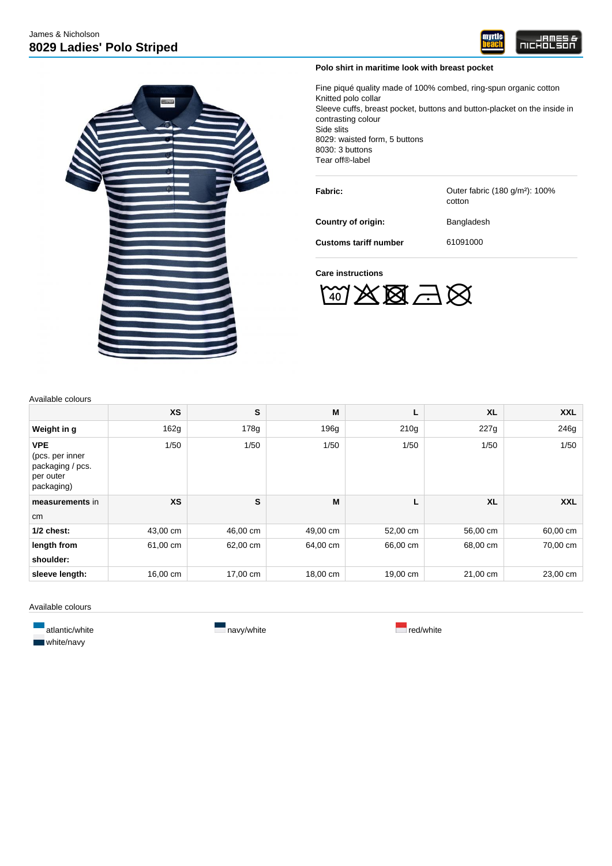



## **Polo shirt in maritime look with breast pocket**

Fine piqué quality made of 100% combed, ring-spun organic cotton Knitted polo collar Sleeve cuffs, breast pocket, buttons and button-placket on the inside in contrasting colour Side slits 8029: waisted form, 5 buttons 8030: 3 buttons Tear off®-label

**Fabric: Canceler Cuteral Fabric (180 g/m<sup>2</sup>): 100%** 

**Country of origin:** Bangladesh

cotton

**Customs tariff number** 61091000

## **Care instructions**

 $\mathbb{Z}\boxtimes\mathbb{Z} \boxtimes \mathbb{Z}$ 

Available colours

|                                                                              | <b>XS</b> | S        | M        | Г        | <b>XL</b>        | <b>XXL</b> |
|------------------------------------------------------------------------------|-----------|----------|----------|----------|------------------|------------|
| Weight in g                                                                  | 162g      | 178g     | 196g     | 210g     | 227 <sub>q</sub> | 246g       |
| <b>VPE</b><br>(pcs. per inner<br>packaging / pcs.<br>per outer<br>packaging) | 1/50      | 1/50     | 1/50     | 1/50     | 1/50             | 1/50       |
| measurements in                                                              | <b>XS</b> | S        | M        | L        | <b>XL</b>        | <b>XXL</b> |
| cm                                                                           |           |          |          |          |                  |            |
| $1/2$ chest:                                                                 | 43,00 cm  | 46,00 cm | 49,00 cm | 52,00 cm | 56,00 cm         | 60,00 cm   |
| length from                                                                  | 61,00 cm  | 62,00 cm | 64,00 cm | 66,00 cm | 68,00 cm         | 70,00 cm   |
| shoulder:                                                                    |           |          |          |          |                  |            |
| sleeve length:                                                               | 16,00 cm  | 17,00 cm | 18,00 cm | 19,00 cm | 21,00 cm         | 23,00 cm   |

Available colours

**White/navy**